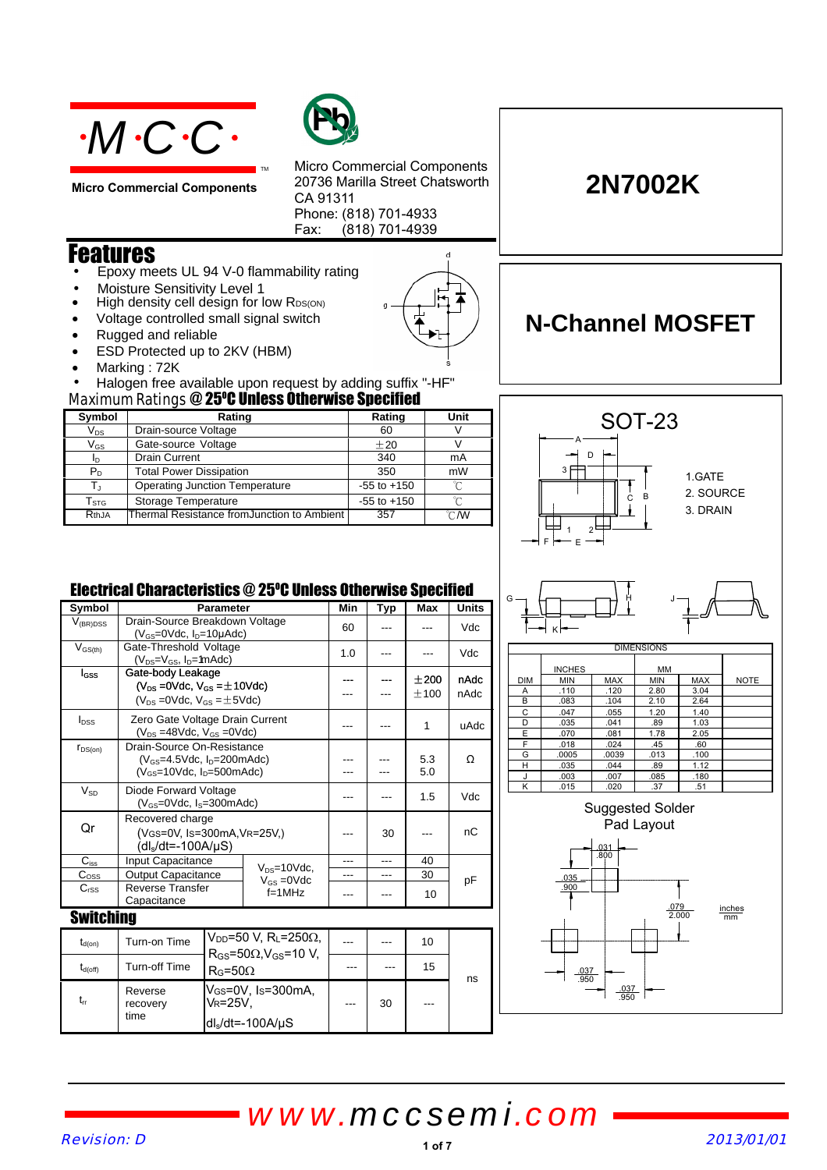

**Micro Commercial Components**



Micro Commercial Components 20736 Marilla Street Chatsworth CA 91311 Phone: (818) 701-4933 Fax:  $(818)$  701-4939

 $\mathbf{d}$ 

### Features

- Epoxy meets UL 94 V-0 flammability rating
- Moisture Sensitivity Level 1
- High density cell design for low RDS(ON)
- Voltage controlled small signal switch
- Rugged and reliable
- ESD Protected up to 2KV (HBM)
- Marking : 72K
- Maximum Ratings @ 25°C Unless Otherwise Specified • Halogen free available upon request by adding suffix "-HF"

TM

| Symbol                     | Rating                                     | Rating          | Unit   |  |  |  |
|----------------------------|--------------------------------------------|-----------------|--------|--|--|--|
| $\mathsf{V}_{\mathsf{DS}}$ | Drain-source Voltage                       | 60              |        |  |  |  |
| $\mathsf{V}_{\mathsf{GS}}$ | Gate-source Voltage                        | $+20$           |        |  |  |  |
| ID.                        | <b>Drain Current</b>                       | 340             | mA     |  |  |  |
| $P_D$                      | <b>Total Power Dissipation</b>             | 350             | mW     |  |  |  |
|                            | <b>Operating Junction Temperature</b>      | $-55$ to $+150$ |        |  |  |  |
| ${\mathsf T}_{\text{STG}}$ | Storage Temperature                        | $-55$ to $+150$ | $\sim$ |  |  |  |
| RthJA                      | Thermal Resistance fromJunction to Ambient | 357             | °CM    |  |  |  |



**2N7002K**

**N-Channel MOSFET**

### Electrical Characteristics @ 25°C Unless Otherwise Specified

| Symbol           |                                                                                       | <b>Parameter</b>                                                                                          |                  | Min | Typ | Max        | <b>Units</b> |  |  |
|------------------|---------------------------------------------------------------------------------------|-----------------------------------------------------------------------------------------------------------|------------------|-----|-----|------------|--------------|--|--|
| $V_{(BR)DSS}$    | Drain-Source Breakdown Voltage<br>$(V_{GS}=0$ Vdc, $I_{D}=10\mu$ Adc)                 |                                                                                                           |                  | 60  |     |            | Vdc          |  |  |
| $V_{GS(th)}$     | Gate-Threshold Voltage<br>$(V_{DS}=V_{GS}, I_D=$ 1mAdc)                               |                                                                                                           |                  | 1.0 |     |            | Vdc          |  |  |
| <b>I</b> GSS     | Gate-body Leakage                                                                     |                                                                                                           |                  |     |     | ±200       | nAdc         |  |  |
|                  | $(V_{DS} = 0$ Vdc, $V_{GS} = \pm 10$ Vdc)<br>$(V_{DS} = 0$ Vdc, $V_{GS} = \pm 5$ Vdc) |                                                                                                           |                  |     |     | ±100       | nAdc         |  |  |
| $I_{DSS}$        | Zero Gate Voltage Drain Current<br>$(V_{DS} = 48Vdc, V_{GS} = 0Vdc)$                  |                                                                                                           |                  |     |     | 1          | uAdc         |  |  |
| $r_{DS(on)}$     | Drain-Source On-Resistance                                                            |                                                                                                           |                  |     |     |            |              |  |  |
|                  | $(V_{GS}=4.5$ Vdc, $I_D=200$ mAdc)<br>$(V_{GS}=10$ Vdc, $I_{D}=500$ mAdc)             |                                                                                                           |                  |     |     | 5.3<br>5.0 | Ω            |  |  |
| $V_{SD}$         | Diode Forward Voltage<br>$(V_{GS}=0$ Vdc, $I_S=300$ mAdc)                             |                                                                                                           |                  |     |     | 1.5        | Vdc          |  |  |
| Qr               | Recovered charge<br>(VGS=0V, Is=300mA, VR=25V,)<br>$(dIs/dt=-100A/uS)$                |                                                                                                           |                  |     | 30  |            | nС           |  |  |
| $C_{\rm iss}$    | Input Capacitance<br>$V_{DS} = 10$ Vdc,                                               |                                                                                                           | ---              | --- | 40  |            |              |  |  |
| $C_{\text{OSS}}$ | <b>Output Capacitance</b>                                                             |                                                                                                           | $V_{GS} = 0$ Vdc |     | --- | 30         | рF           |  |  |
| C <sub>rSS</sub> | <b>Reverse Transfer</b><br>Capacitance                                                |                                                                                                           | $f=1$ MHz        |     |     | 10         |              |  |  |
| <b>Switching</b> |                                                                                       |                                                                                                           |                  |     |     |            |              |  |  |
| $t_{d(on)}$      | Turn-on Time                                                                          | $V_{\text{DD}}$ =50 V. Rı =250 $\Omega$ .<br>$R_{GS}$ =50 $\Omega$ . V $_{GS}$ =10 V.<br>$R_G = 50\Omega$ |                  |     |     | 10         |              |  |  |
| $t_{d(off)}$     | <b>Turn-off Time</b>                                                                  |                                                                                                           |                  | --- |     | 15         | ns           |  |  |
| $t_{rr}$         | Reverse<br>recovery<br>time                                                           | V <sub>GS</sub> =0V, Is=300mA,<br>Vr=25V.<br>dl。/dt=-100A/uS                                              |                  |     | 30  |            |              |  |  |

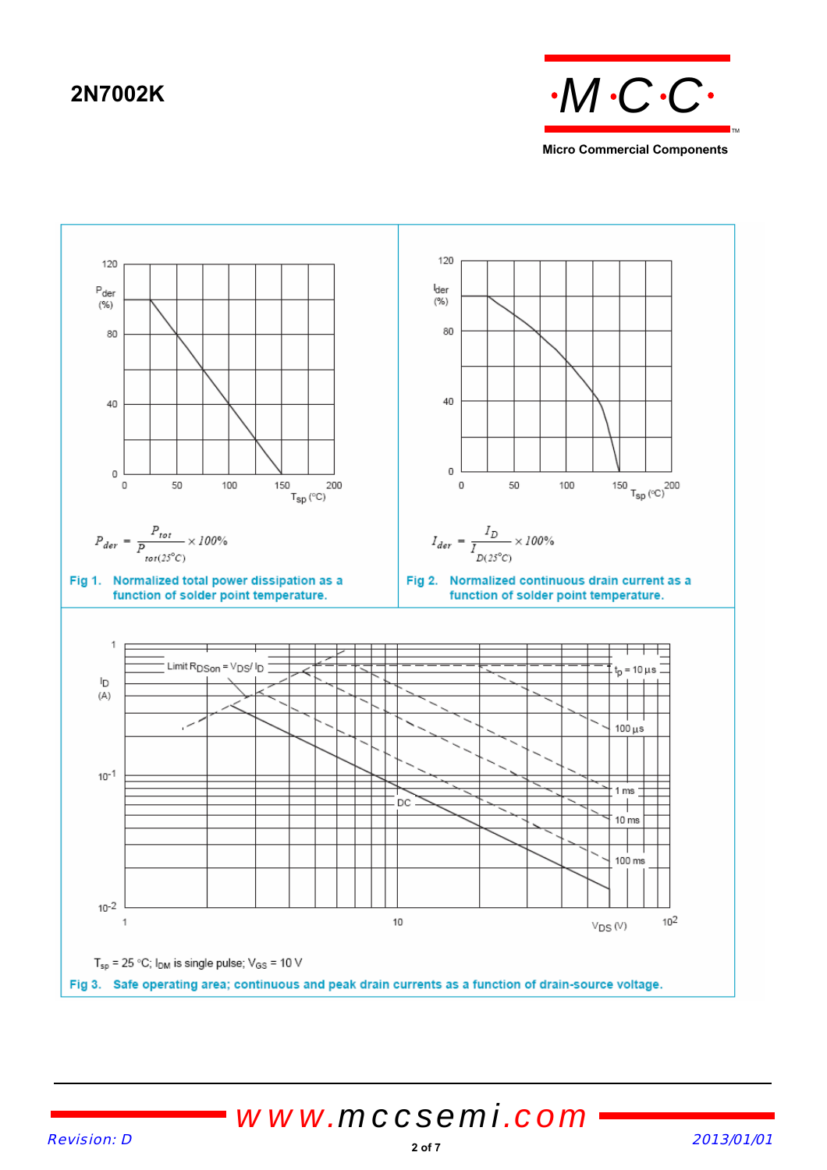



## Revision: D 2013/01/01 *www.mccsemi.com*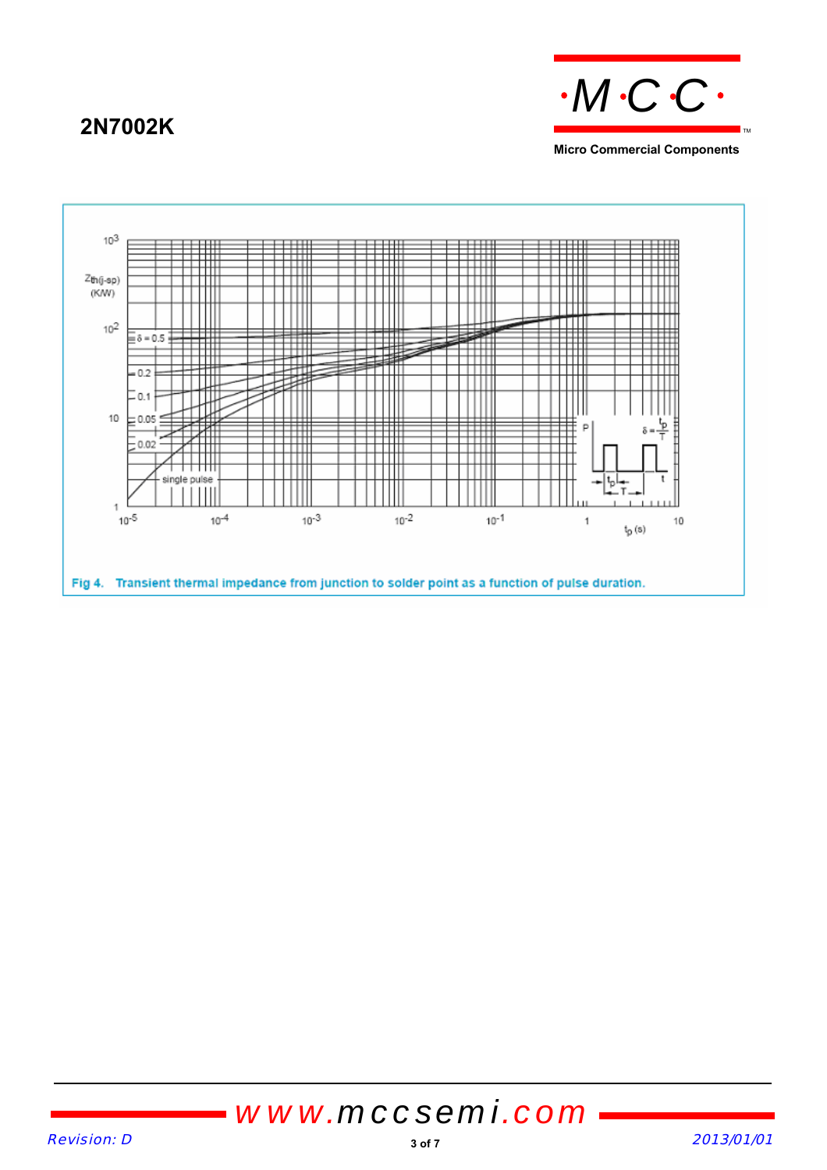## **2N7002K**



**Micro Commercial Components**

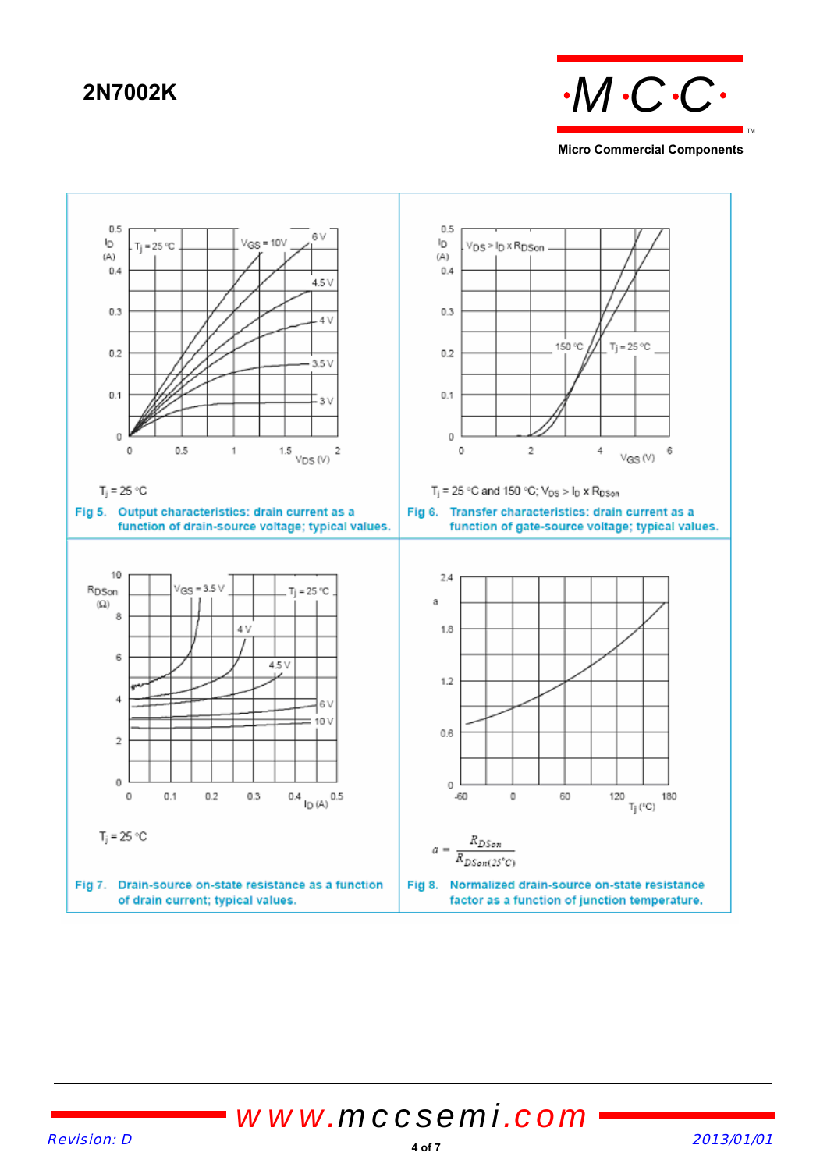

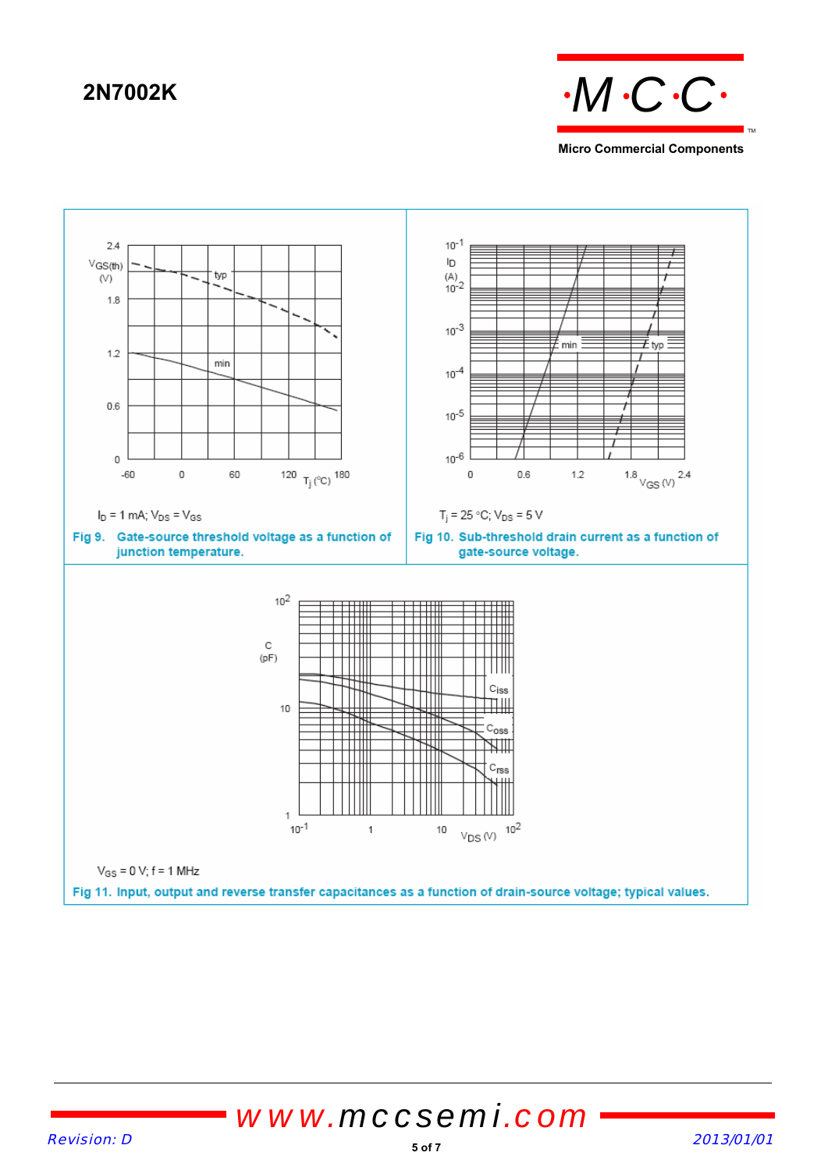

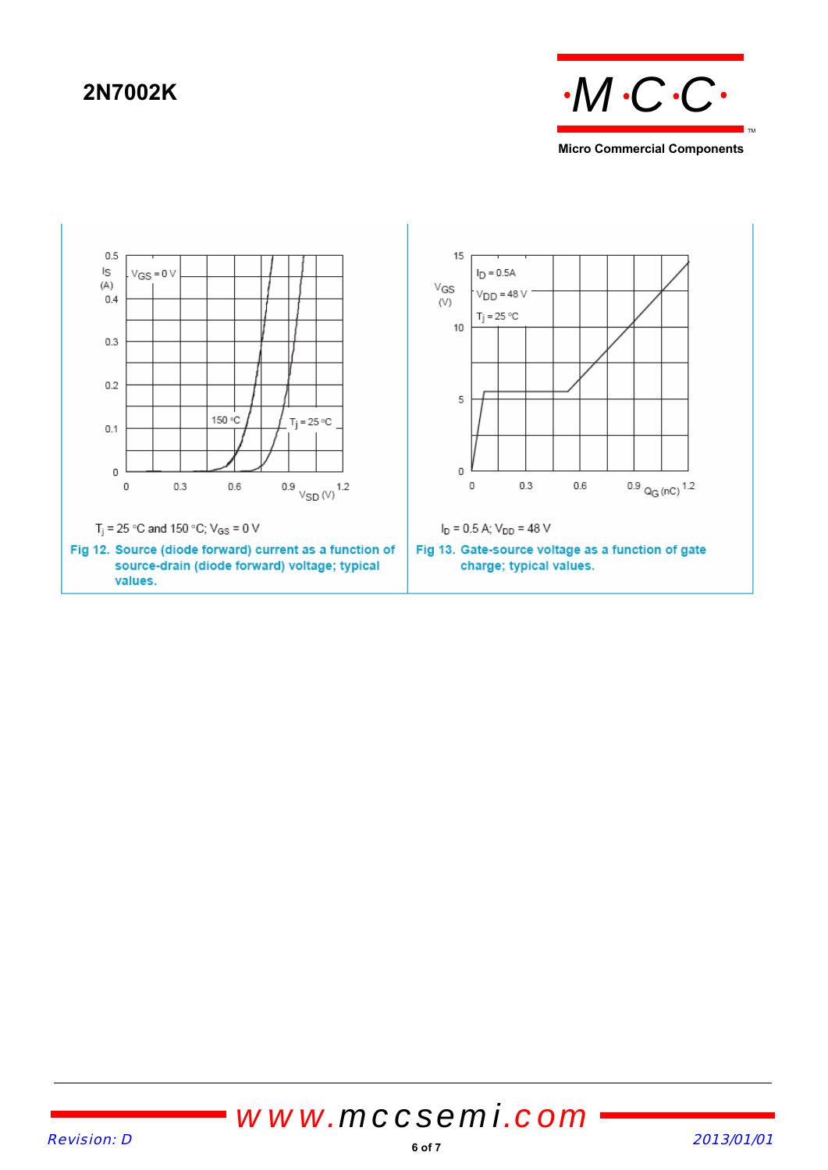